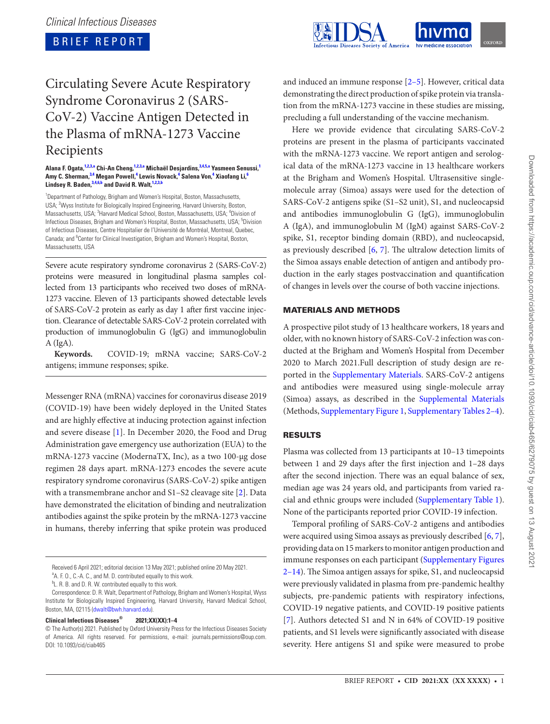**BRIEF REPORT** 



# Circulating Severe Acute Respiratory Syndrome Coronavirus 2 (SARS-CoV-2) Vaccine Antigen Detected in the Plasma of mRNA-1273 Vaccine Recipients

#### **Alana F. Ogata, [1](#page-0-0)[,2](#page-0-1)[,3](#page-0-2)[,a](#page-0-3) Chi-An Cheng, [1,](#page-0-0)[2,](#page-0-1)[3,](#page-0-2)[a](#page-0-3) Michaël Desjardins, [3](#page-0-2)[,4,](#page-0-4)[5,](#page-0-5)[a](#page-0-3) Yasmeen Senussi, [1](#page-0-0) Amy C. Sherman, [3,](#page-0-2)[4](#page-0-4) Megan Powell, [4](#page-0-4) Lewis Novack, [4](#page-0-4) Salena Von, [4](#page-0-4) Xiaofang Li, [6](#page-0-6) Lindsey R. Baden, [3](#page-0-2)[,4](#page-0-4)[,6](#page-0-6)[,b](#page-0-7) and David R. Walt, [1](#page-0-0)[,2](#page-0-1)[,3,](#page-0-2)[b](#page-0-7)**

<span id="page-0-5"></span><span id="page-0-4"></span><span id="page-0-2"></span><span id="page-0-1"></span><span id="page-0-0"></span><sup>1</sup>Department of Pathology, Brigham and Women's Hospital, Boston, Massachusetts, USA; <sup>2</sup>Wyss Institute for Biologically Inspired Engineering, Harvard University, Boston, Massachusetts, USA; <sup>3</sup>Harvard Medical School, Boston, Massachusetts, USA; <sup>4</sup>Division of Infectious Diseases, Brigham and Women's Hospital, Boston, Massachusetts, USA; <sup>5</sup>Division of Infectious Diseases, Centre Hospitalier de l'Université de Montréal, Montreal, Quebec, Canada; and <sup>6</sup>Center for Clinical Investigation, Brigham and Women's Hospital, Boston, Massachusetts, USA

<span id="page-0-6"></span>Severe acute respiratory syndrome coronavirus 2 (SARS-CoV-2) proteins were measured in longitudinal plasma samples collected from 13 participants who received two doses of mRNA-1273 vaccine. Eleven of 13 participants showed detectable levels of SARS-CoV-2 protein as early as day 1 after first vaccine injection. Clearance of detectable SARS-CoV-2 protein correlated with production of immunoglobulin G (IgG) and immunoglobulin A (IgA).

**Keywords.** COVID-19; mRNA vaccine; SARS-CoV-2 antigens; immune responses; spike.

Messenger RNA (mRNA) vaccines for coronavirus disease 2019 (COVID-19) have been widely deployed in the United States and are highly effective at inducing protection against infection and severe disease [\[1\]](#page-3-0). In December 2020, the Food and Drug Administration gave emergency use authorization (EUA) to the mRNA-1273 vaccine (ModernaTX, Inc), as a two 100-µg dose regimen 28 days apart. mRNA-1273 encodes the severe acute respiratory syndrome coronavirus (SARS-CoV-2) spike antigen with a transmembrane anchor and S1–S2 cleavage site [[2](#page-3-1)]. Data have demonstrated the elicitation of binding and neutralization antibodies against the spike protein by the mRNA-1273 vaccine in humans, thereby inferring that spike protein was produced

Received 6 April 2021; editorial decision 13 May 2021; published online 20 May 2021.

## **Clinical Infectious Diseases® 2021;XX(XX):1–4**

and induced an immune response [[2](#page-3-1)[–5\]](#page-3-2). However, critical data demonstrating the direct production of spike protein via translation from the mRNA-1273 vaccine in these studies are missing, precluding a full understanding of the vaccine mechanism.

Here we provide evidence that circulating SARS-CoV-2 proteins are present in the plasma of participants vaccinated with the mRNA-1273 vaccine. We report antigen and serological data of the mRNA-1273 vaccine in 13 healthcare workers at the Brigham and Women's Hospital. Ultrasensitive singlemolecule array (Simoa) assays were used for the detection of SARS-CoV-2 antigens spike (S1–S2 unit), S1, and nucleocapsid and antibodies immunoglobulin G (IgG), immunoglobulin A (IgA), and immunoglobulin M (IgM) against SARS-CoV-2 spike, S1, receptor binding domain (RBD), and nucleocapsid, as previously described [\[6,](#page-3-3) [7](#page-3-4)]. The ultralow detection limits of the Simoa assays enable detection of antigen and antibody production in the early stages postvaccination and quantification of changes in levels over the course of both vaccine injections.

## MATERIALS AND METHODS

A prospective pilot study of 13 healthcare workers, 18 years and older, with no known history of SARS-CoV-2 infection was conducted at the Brigham and Women's Hospital from December 2020 to March 2021.Full description of study design are reported in the [Supplementary Materials](https://academic.oup.com/cid/article-lookup/doi/10.1093/cid/ciab465#supplementary-data). SARS-CoV-2 antigens and antibodies were measured using single-molecule array (Simoa) assays, as described in the [Supplemental Materials](https://academic.oup.com/cid/article-lookup/doi/10.1093/cid/ciab465#supplementary-data) (Methods, [Supplementary Figure 1, Supplementary Tables 2–4](http://academic.oup.com/cid/article-lookup/doi/10.1093/cid/ciab465#supplementary-data)).

## RESULTS

Plasma was collected from 13 participants at 10–13 timepoints between 1 and 29 days after the first injection and 1–28 days after the second injection. There was an equal balance of sex, median age was 24 years old, and participants from varied racial and ethnic groups were included [\(Supplementary Table 1](http://academic.oup.com/cid/article-lookup/doi/10.1093/cid/ciab465#supplementary-data)). None of the participants reported prior COVID-19 infection.

Temporal profiling of SARS-CoV-2 antigens and antibodies were acquired using Simoa assays as previously described [\[6,](#page-3-3) [7](#page-3-4)], providing data on 15 markers to monitor antigen production and immune responses on each participant [\(Supplementary Figures](http://academic.oup.com/cid/article-lookup/doi/10.1093/cid/ciab465#supplementary-data)  [2–14\)](http://academic.oup.com/cid/article-lookup/doi/10.1093/cid/ciab465#supplementary-data). The Simoa antigen assays for spike, S1, and nucleocapsid were previously validated in plasma from pre-pandemic healthy subjects, pre-pandemic patients with respiratory infections, COVID-19 negative patients, and COVID-19 positive patients [\[7\]](#page-3-4). Authors detected S1 and N in 64% of COVID-19 positive patients, and S1 levels were significantly associated with disease severity. Here antigens S1 and spike were measured to probe

<span id="page-0-3"></span><sup>&</sup>lt;sup>a</sup>A. F. O., C.-A. C., and M. D. contributed equally to this work.

<span id="page-0-7"></span><sup>&</sup>lt;sup>b</sup>L. R. B. and D. R. W. contributed equally to this work.

Correspondence: D. R. Walt, Department of Pathology, Brigham and Women's Hospital, Wyss Institute for Biologically Inspired Engineering, Harvard University, Harvard Medical School, Boston, MA, 02115 ([dwalt@bwh.harvard.edu](mailto:dwalt@bwh.harvard.edu?subject=)).

<sup>©</sup> The Author(s) 2021. Published by Oxford University Press for the Infectious Diseases Society of America. All rights reserved. For permissions, e-mail: journals.permissions@oup.com. DOI: 10.1093/cid/ciab465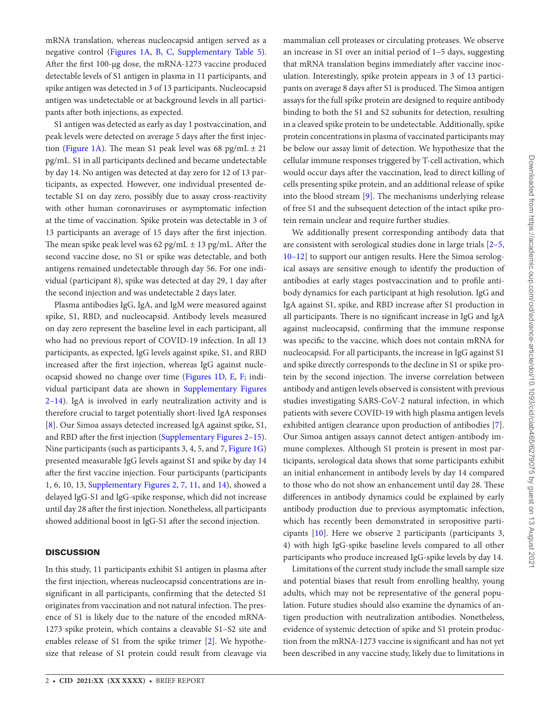mRNA translation, whereas nucleocapsid antigen served as a negative control [\(Figures 1A](#page-2-0), [B,](#page-2-0) [C](#page-2-0), [Supplementary Table 5\)](http://academic.oup.com/cid/article-lookup/doi/10.1093/cid/ciab465#supplementary-data). After the first 100-µg dose, the mRNA-1273 vaccine produced detectable levels of S1 antigen in plasma in 11 participants, and spike antigen was detected in 3 of 13 participants. Nucleocapsid antigen was undetectable or at background levels in all participants after both injections, as expected.

S1 antigen was detected as early as day 1 postvaccination, and peak levels were detected on average 5 days after the first injec-tion ([Figure 1A\)](#page-2-0). The mean S1 peak level was 68 pg/mL  $\pm$  21 pg/mL. S1 in all participants declined and became undetectable by day 14. No antigen was detected at day zero for 12 of 13 participants, as expected. However, one individual presented detectable S1 on day zero, possibly due to assay cross-reactivity with other human coronaviruses or asymptomatic infection at the time of vaccination. Spike protein was detectable in 3 of 13 participants an average of 15 days after the first injection. The mean spike peak level was  $62$  pg/mL  $\pm$  13 pg/mL. After the second vaccine dose, no S1 or spike was detectable, and both antigens remained undetectable through day 56. For one individual (participant 8), spike was detected at day 29, 1 day after the second injection and was undetectable 2 days later.

Plasma antibodies IgG, IgA, and IgM were measured against spike, S1, RBD, and nucleocapsid. Antibody levels measured on day zero represent the baseline level in each participant, all who had no previous report of COVID-19 infection. In all 13 participants, as expected, IgG levels against spike, S1, and RBD increased after the first injection, whereas IgG against nucleocapsid showed no change over time [\(Figures 1D,](#page-2-0) [E](#page-2-0), [F;](#page-2-0) individual participant data are shown in [Supplementary Figures](http://academic.oup.com/cid/article-lookup/doi/10.1093/cid/ciab465#supplementary-data) [2–14\)](http://academic.oup.com/cid/article-lookup/doi/10.1093/cid/ciab465#supplementary-data). IgA is involved in early neutralization activity and is therefore crucial to target potentially short-lived IgA responses [\[8\]](#page-3-5). Our Simoa assays detected increased IgA against spike, S1, and RBD after the first injection [\(Supplementary Figures 2–15\)](http://academic.oup.com/cid/article-lookup/doi/10.1093/cid/ciab465#supplementary-data). Nine participants (such as participants 3, 4, 5, and 7, [Figure 1G\)](#page-2-0) presented measurable IgG levels against S1 and spike by day 14 after the first vaccine injection. Four participants (participants 1, 6, 10, 13, [Supplementary Figures 2, 7, 11,](http://academic.oup.com/cid/article-lookup/doi/10.1093/cid/ciab465#supplementary-data) and [14\)](http://academic.oup.com/cid/article-lookup/doi/10.1093/cid/ciab465#supplementary-data), showed a delayed IgG-S1 and IgG-spike response, which did not increase until day 28 after the first injection. Nonetheless, all participants showed additional boost in IgG-S1 after the second injection.

## **DISCUSSION**

In this study, 11 participants exhibit S1 antigen in plasma after the first injection, whereas nucleocapsid concentrations are insignificant in all participants, confirming that the detected S1 originates from vaccination and not natural infection. The presence of S1 is likely due to the nature of the encoded mRNA-1273 spike protein, which contains a cleavable S1–S2 site and enables release of S1 from the spike trimer [\[2](#page-3-1)]. We hypothesize that release of S1 protein could result from cleavage via

mammalian cell proteases or circulating proteases. We observe an increase in S1 over an initial period of 1–5 days, suggesting that mRNA translation begins immediately after vaccine inoculation. Interestingly, spike protein appears in 3 of 13 participants on average 8 days after S1 is produced. The Simoa antigen assays for the full spike protein are designed to require antibody binding to both the S1 and S2 subunits for detection, resulting in a cleaved spike protein to be undetectable. Additionally, spike protein concentrations in plasma of vaccinated participants may be below our assay limit of detection. We hypothesize that the cellular immune responses triggered by T-cell activation, which would occur days after the vaccination, lead to direct killing of cells presenting spike protein, and an additional release of spike into the blood stream [[9](#page-3-6)]. The mechanisms underlying release of free S1 and the subsequent detection of the intact spike protein remain unclear and require further studies.

We additionally present corresponding antibody data that are consistent with serological studies done in large trials [[2](#page-3-1)[–5,](#page-3-2) [10](#page-3-7)[–12](#page-3-8)] to support our antigen results. Here the Simoa serological assays are sensitive enough to identify the production of antibodies at early stages postvaccination and to profile antibody dynamics for each participant at high resolution. IgG and IgA against S1, spike, and RBD increase after S1 production in all participants. There is no significant increase in IgG and IgA against nucleocapsid, confirming that the immune response was specific to the vaccine, which does not contain mRNA for nucleocapsid. For all participants, the increase in IgG against S1 and spike directly corresponds to the decline in S1 or spike protein by the second injection. The inverse correlation between antibody and antigen levels observed is consistent with previous studies investigating SARS-CoV-2 natural infection, in which patients with severe COVID-19 with high plasma antigen levels exhibited antigen clearance upon production of antibodies [[7](#page-3-4)]. Our Simoa antigen assays cannot detect antigen-antibody immune complexes. Although S1 protein is present in most participants, serological data shows that some participants exhibit an initial enhancement in antibody levels by day 14 compared to those who do not show an enhancement until day 28. These differences in antibody dynamics could be explained by early antibody production due to previous asymptomatic infection, which has recently been demonstrated in seropositive participants [\[10](#page-3-7)]. Here we observe 2 participants (participants 3, 4) with high IgG-spike baseline levels compared to all other participants who produce increased IgG-spike levels by day 14.

Limitations of the current study include the small sample size and potential biases that result from enrolling healthy, young adults, which may not be representative of the general population. Future studies should also examine the dynamics of antigen production with neutralization antibodies. Nonetheless, evidence of systemic detection of spike and S1 protein production from the mRNA-1273 vaccine is significant and has not yet been described in any vaccine study, likely due to limitations in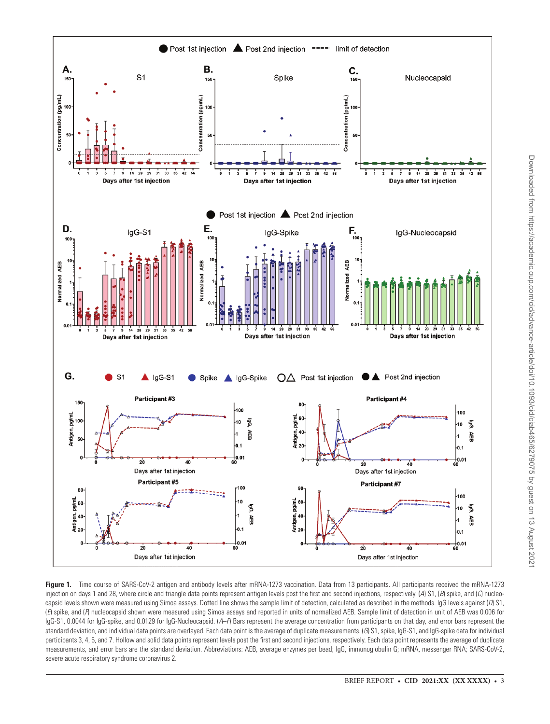

<span id="page-2-0"></span>Figure 1. Time course of SARS-CoV-2 antigen and antibody levels after mRNA-1273 vaccination. Data from 13 participants. All participants received the mRNA-1273 injection on days 1 and 28, where circle and triangle data points represent antigen levels post the first and second injections, respectively. (A) S1, (*B*) spike, and (*C*) nucleocapsid levels shown were measured using Simoa assays. Dotted line shows the sample limit of detection, calculated as described in the methods. IgG levels against (*D*) S1, (*E*) spike, and (*F*) nucleocapsid shown were measured using Simoa assays and reported in units of normalized AEB. Sample limit of detection in unit of AEB was 0.006 for IgG-S1, 0.0044 for IgG-spike, and 0.0129 for IgG-Nucleocapsid. (A-*F*) Bars represent the average concentration from participants on that day, and error bars represent the standard deviation, and individual data points are overlayed. Each data point is the average of duplicate measurements. (*G*) S1, spike, IgG-S1, and IgG-spike data for individual participants 3, 4, 5, and 7. Hollow and solid data points represent levels post the first and second injections, respectively. Each data point represents the average of duplicate measurements, and error bars are the standard deviation. Abbreviations: AEB, average enzymes per bead; IgG, immunoglobulin G; mRNA, messenger RNA; SARS-CoV-2, severe acute respiratory syndrome coronavirus 2.